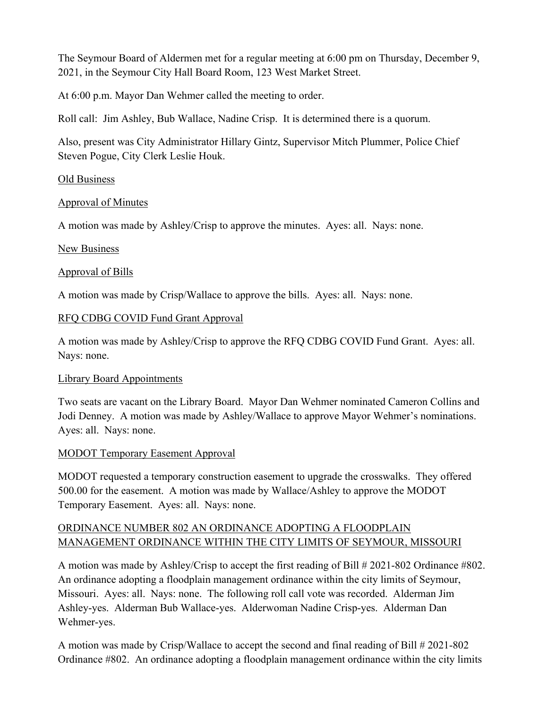The Seymour Board of Aldermen met for a regular meeting at 6:00 pm on Thursday, December 9, 2021, in the Seymour City Hall Board Room, 123 West Market Street.

At 6:00 p.m. Mayor Dan Wehmer called the meeting to order.

Roll call: Jim Ashley, Bub Wallace, Nadine Crisp. It is determined there is a quorum.

Also, present was City Administrator Hillary Gintz, Supervisor Mitch Plummer, Police Chief Steven Pogue, City Clerk Leslie Houk.

### Old Business

## Approval of Minutes

A motion was made by Ashley/Crisp to approve the minutes. Ayes: all. Nays: none.

### New Business

### Approval of Bills

A motion was made by Crisp/Wallace to approve the bills. Ayes: all. Nays: none.

## RFQ CDBG COVID Fund Grant Approval

A motion was made by Ashley/Crisp to approve the RFQ CDBG COVID Fund Grant. Ayes: all. Nays: none.

## Library Board Appointments

Two seats are vacant on the Library Board. Mayor Dan Wehmer nominated Cameron Collins and Jodi Denney. A motion was made by Ashley/Wallace to approve Mayor Wehmer's nominations. Ayes: all. Nays: none.

## MODOT Temporary Easement Approval

MODOT requested a temporary construction easement to upgrade the crosswalks. They offered 500.00 for the easement. A motion was made by Wallace/Ashley to approve the MODOT Temporary Easement. Ayes: all. Nays: none.

## ORDINANCE NUMBER 802 AN ORDINANCE ADOPTING A FLOODPLAIN MANAGEMENT ORDINANCE WITHIN THE CITY LIMITS OF SEYMOUR, MISSOURI

A motion was made by Ashley/Crisp to accept the first reading of Bill # 2021-802 Ordinance #802. An ordinance adopting a floodplain management ordinance within the city limits of Seymour, Missouri. Ayes: all. Nays: none. The following roll call vote was recorded. Alderman Jim Ashley-yes. Alderman Bub Wallace-yes. Alderwoman Nadine Crisp-yes. Alderman Dan Wehmer-yes.

A motion was made by Crisp/Wallace to accept the second and final reading of Bill # 2021-802 Ordinance #802. An ordinance adopting a floodplain management ordinance within the city limits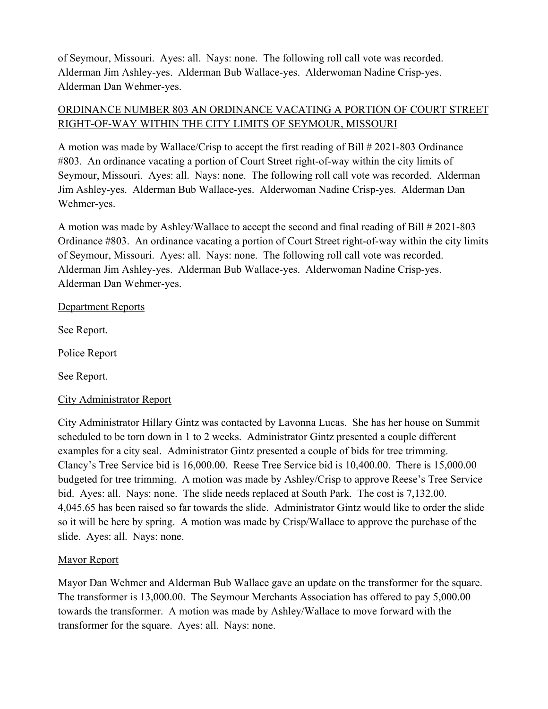of Seymour, Missouri. Ayes: all. Nays: none. The following roll call vote was recorded. Alderman Jim Ashley-yes. Alderman Bub Wallace-yes. Alderwoman Nadine Crisp-yes. Alderman Dan Wehmer-yes.

# ORDINANCE NUMBER 803 AN ORDINANCE VACATING A PORTION OF COURT STREET RIGHT-OF-WAY WITHIN THE CITY LIMITS OF SEYMOUR, MISSOURI

A motion was made by Wallace/Crisp to accept the first reading of Bill # 2021-803 Ordinance #803. An ordinance vacating a portion of Court Street right-of-way within the city limits of Seymour, Missouri. Ayes: all. Nays: none. The following roll call vote was recorded. Alderman Jim Ashley-yes. Alderman Bub Wallace-yes. Alderwoman Nadine Crisp-yes. Alderman Dan Wehmer-yes.

A motion was made by Ashley/Wallace to accept the second and final reading of Bill # 2021-803 Ordinance #803. An ordinance vacating a portion of Court Street right-of-way within the city limits of Seymour, Missouri. Ayes: all. Nays: none. The following roll call vote was recorded. Alderman Jim Ashley-yes. Alderman Bub Wallace-yes. Alderwoman Nadine Crisp-yes. Alderman Dan Wehmer-yes.

## Department Reports

See Report.

Police Report

See Report.

## City Administrator Report

City Administrator Hillary Gintz was contacted by Lavonna Lucas. She has her house on Summit scheduled to be torn down in 1 to 2 weeks. Administrator Gintz presented a couple different examples for a city seal. Administrator Gintz presented a couple of bids for tree trimming. Clancy's Tree Service bid is 16,000.00. Reese Tree Service bid is 10,400.00. There is 15,000.00 budgeted for tree trimming. A motion was made by Ashley/Crisp to approve Reese's Tree Service bid. Ayes: all. Nays: none. The slide needs replaced at South Park. The cost is 7,132.00. 4,045.65 has been raised so far towards the slide. Administrator Gintz would like to order the slide so it will be here by spring. A motion was made by Crisp/Wallace to approve the purchase of the slide. Ayes: all. Nays: none.

## Mayor Report

Mayor Dan Wehmer and Alderman Bub Wallace gave an update on the transformer for the square. The transformer is 13,000.00. The Seymour Merchants Association has offered to pay 5,000.00 towards the transformer. A motion was made by Ashley/Wallace to move forward with the transformer for the square. Ayes: all. Nays: none.